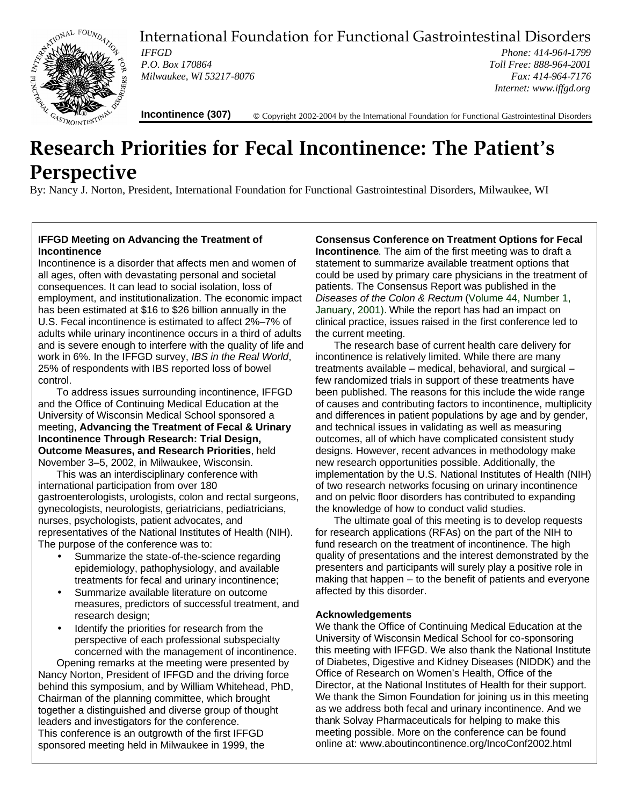

International Foundation for Functional Gastrointestinal Disorders

*IFFGD P.O. Box 170864 Milwaukee, WI 53217-8076*

*Phone: 414-964-1799 Toll Free: 888-964-2001 Fax: 414-964-7176 Internet: www.iffgd.org*

**Incontinence (307)** © Copyright 2002-2004 by the International Foundation for Functional Gastrointestinal Disorders

# **Research Priorities for Fecal Incontinence: The Patient's Perspective**

By: Nancy J. Norton, President, International Foundation for Functional Gastrointestinal Disorders, Milwaukee, WI

#### **IFFGD Meeting on Advancing the Treatment of Incontinence**

Incontinence is a disorder that affects men and women of all ages, often with devastating personal and societal consequences. It can lead to social isolation, loss of employment, and institutionalization. The economic impact has been estimated at \$16 to \$26 billion annually in the U.S. Fecal incontinence is estimated to affect 2%–7% of adults while urinary incontinence occurs in a third of adults and is severe enough to interfere with the quality of life and work in 6%. In the IFFGD survey, *IBS in the Real World*, 25% of respondents with IBS reported loss of bowel control.

To address issues surrounding incontinence, IFFGD and the Office of Continuing Medical Education at the University of Wisconsin Medical School sponsored a meeting, **Advancing the Treatment of Fecal & Urinary Incontinence Through Research: Trial Design, Outcome Measures, and Research Priorities**, held November 3–5, 2002, in Milwaukee, Wisconsin.

This was an interdisciplinary conference with international participation from over 180 gastroenterologists, urologists, colon and rectal surgeons, gynecologists, neurologists, geriatricians, pediatricians, nurses, psychologists, patient advocates, and representatives of the National Institutes of Health (NIH). The purpose of the conference was to:

- Summarize the state-of-the-science regarding epidemiology, pathophysiology, and available treatments for fecal and urinary incontinence;
- Summarize available literature on outcome measures, predictors of successful treatment, and research design;
- Identify the priorities for research from the perspective of each professional subspecialty concerned with the management of incontinence.

Opening remarks at the meeting were presented by Nancy Norton, President of IFFGD and the driving force behind this symposium, and by William Whitehead, PhD, Chairman of the planning committee, which brought together a distinguished and diverse group of thought leaders and investigators for the conference. This conference is an outgrowth of the first IFFGD sponsored meeting held in Milwaukee in 1999, the

**Consensus Conference on Treatment Options for Fecal Incontinence**. The aim of the first meeting was to draft a statement to summarize available treatment options that could be used by primary care physicians in the treatment of patients. The Consensus Report was published in the *Diseases of the Colon & Rectum* (Volume 44, Number 1, January, 2001). While the report has had an impact on clinical practice, issues raised in the first conference led to the current meeting.

The research base of current health care delivery for incontinence is relatively limited. While there are many treatments available – medical, behavioral, and surgical – few randomized trials in support of these treatments have been published. The reasons for this include the wide range of causes and contributing factors to incontinence, multiplicity and differences in patient populations by age and by gender, and technical issues in validating as well as measuring outcomes, all of which have complicated consistent study designs. However, recent advances in methodology make new research opportunities possible. Additionally, the implementation by the U.S. National Institutes of Health (NIH) of two research networks focusing on urinary incontinence and on pelvic floor disorders has contributed to expanding the knowledge of how to conduct valid studies.

The ultimate goal of this meeting is to develop requests for research applications (RFAs) on the part of the NIH to fund research on the treatment of incontinence. The high quality of presentations and the interest demonstrated by the presenters and participants will surely play a positive role in making that happen – to the benefit of patients and everyone affected by this disorder.

### **Acknowledgements**

We thank the Office of Continuing Medical Education at the University of Wisconsin Medical School for co-sponsoring this meeting with IFFGD. We also thank the National Institute of Diabetes, Digestive and Kidney Diseases (NIDDK) and the Office of Research on Women's Health, Office of the Director, at the National Institutes of Health for their support. We thank the Simon Foundation for joining us in this meeting as we address both fecal and urinary incontinence. And we thank Solvay Pharmaceuticals for helping to make this meeting possible. More on the conference can be found online at: www.aboutincontinence.org/IncoConf2002.html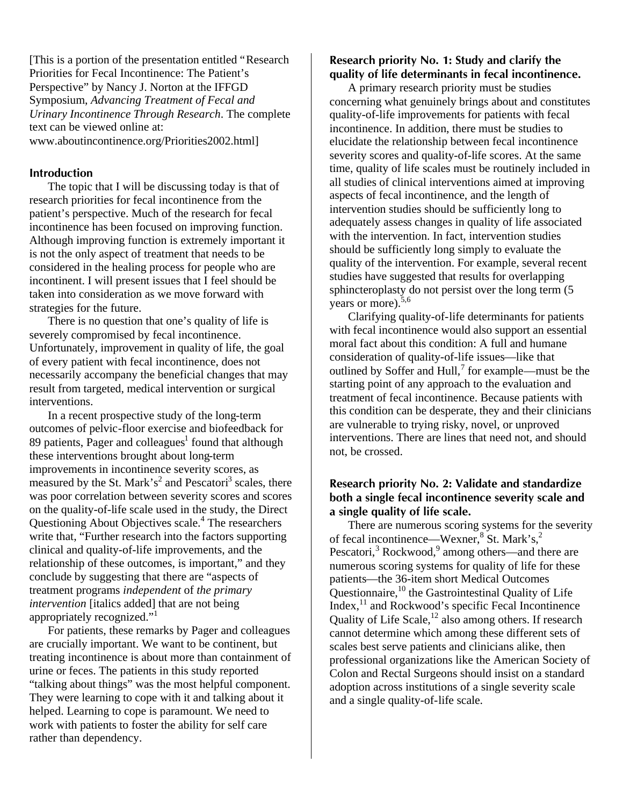[This is a portion of the presentation entitled "Research Priorities for Fecal Incontinence: The Patient's Perspective" by Nancy J. Norton at the IFFGD Symposium, *Advancing Treatment of Fecal and Urinary Incontinence Through Research*. The complete text can be viewed online at: www.aboutincontinence.org/Priorities2002.html]

#### **Introduction**

The topic that I will be discussing today is that of research priorities for fecal incontinence from the patient's perspective. Much of the research for fecal incontinence has been focused on improving function. Although improving function is extremely important it is not the only aspect of treatment that needs to be considered in the healing process for people who are incontinent. I will present issues that I feel should be taken into consideration as we move forward with strategies for the future.

There is no question that one's quality of life is severely compromised by fecal incontinence. Unfortunately, improvement in quality of life, the goal of every patient with fecal incontinence, does not necessarily accompany the beneficial changes that may result from targeted, medical intervention or surgical interventions.

In a recent prospective study of the long-term outcomes of pelvic-floor exercise and biofeedback for 89 patients, Pager and colleagues<sup>1</sup> found that although these interventions brought about long-term improvements in incontinence severity scores, as measured by the St. Mark's<sup>2</sup> and Pescatori<sup>3</sup> scales, there was poor correlation between severity scores and scores on the quality-of-life scale used in the study, the Direct Questioning About Objectives scale.<sup>4</sup> The researchers write that, "Further research into the factors supporting clinical and quality-of-life improvements, and the relationship of these outcomes, is important," and they conclude by suggesting that there are "aspects of treatment programs *independent* of *the primary intervention* [italics added] that are not being appropriately recognized."<sup>1</sup>

For patients, these remarks by Pager and colleagues are crucially important. We want to be continent, but treating incontinence is about more than containment of urine or feces. The patients in this study reported "talking about things" was the most helpful component. They were learning to cope with it and talking about it helped. Learning to cope is paramount. We need to work with patients to foster the ability for self care rather than dependency.

### **Research priority No. 1: Study and clarify the quality of life determinants in fecal incontinence.**

A primary research priority must be studies concerning what genuinely brings about and constitutes quality-of-life improvements for patients with fecal incontinence. In addition, there must be studies to elucidate the relationship between fecal incontinence severity scores and quality-of-life scores. At the same time, quality of life scales must be routinely included in all studies of clinical interventions aimed at improving aspects of fecal incontinence, and the length of intervention studies should be sufficiently long to adequately assess changes in quality of life associated with the intervention. In fact, intervention studies should be sufficiently long simply to evaluate the quality of the intervention. For example, several recent studies have suggested that results for overlapping sphincteroplasty do not persist over the long term (5 years or more).<sup>5,6</sup>

Clarifying quality-of-life determinants for patients with fecal incontinence would also support an essential moral fact about this condition: A full and humane consideration of quality-of-life issues—like that outlined by Soffer and Hull, $^7$  for example—must be the starting point of any approach to the evaluation and treatment of fecal incontinence. Because patients with this condition can be desperate, they and their clinicians are vulnerable to trying risky, novel, or unproved interventions. There are lines that need not, and should not, be crossed.

## **Research priority No. 2: Validate and standardize both a single fecal incontinence severity scale and a single quality of life scale.**

There are numerous scoring systems for the severity of fecal incontinence—Wexner,<sup>8</sup> St. Mark's,<sup>2</sup> Pescatori,<sup>3</sup> Rockwood,<sup>9</sup> among others—and there are numerous scoring systems for quality of life for these patients—the 36-item short Medical Outcomes Questionnaire,  $10$  the Gastrointestinal Quality of Life Index,<sup>11</sup> and Rockwood's specific Fecal Incontinence Quality of Life Scale, $^{12}$  also among others. If research cannot determine which among these different sets of scales best serve patients and clinicians alike, then professional organizations like the American Society of Colon and Rectal Surgeons should insist on a standard adoption across institutions of a single severity scale and a single quality-of-life scale.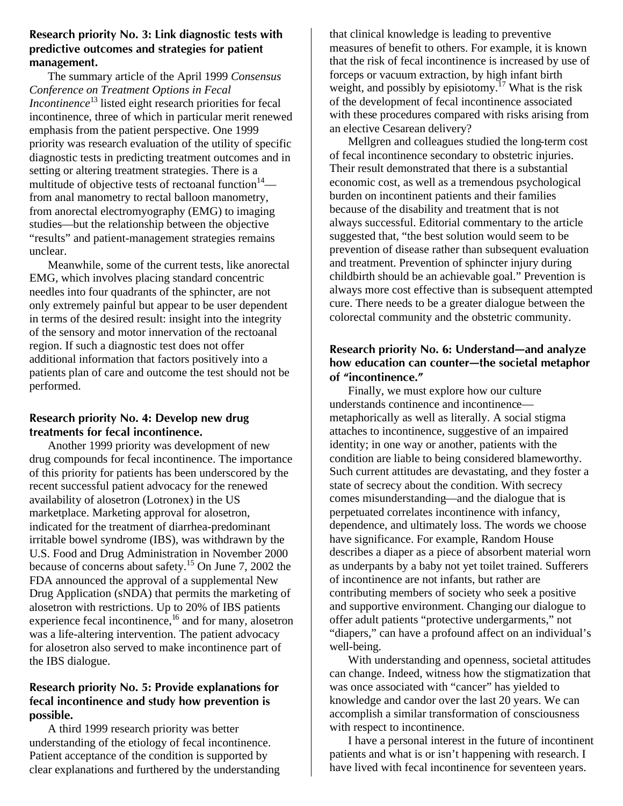## **Research priority No. 3: Link diagnostic tests with predictive outcomes and strategies for patient management.**

The summary article of the April 1999 *Consensus Conference on Treatment Options in Fecal Incontinence*<sup>13</sup> listed eight research priorities for fecal incontinence, three of which in particular merit renewed emphasis from the patient perspective. One 1999 priority was research evaluation of the utility of specific diagnostic tests in predicting treatment outcomes and in setting or altering treatment strategies. There is a multitude of objective tests of rectoanal function $14$  from anal manometry to rectal balloon manometry, from anorectal electromyography (EMG) to imaging studies—but the relationship between the objective "results" and patient-management strategies remains unclear.

Meanwhile, some of the current tests, like anorectal EMG, which involves placing standard concentric needles into four quadrants of the sphincter, are not only extremely painful but appear to be user dependent in terms of the desired result: insight into the integrity of the sensory and motor innervation of the rectoanal region. If such a diagnostic test does not offer additional information that factors positively into a patients plan of care and outcome the test should not be performed.

## **Research priority No. 4: Develop new drug treatments for fecal incontinence.**

Another 1999 priority was development of new drug compounds for fecal incontinence. The importance of this priority for patients has been underscored by the recent successful patient advocacy for the renewed availability of alosetron (Lotronex) in the US marketplace. Marketing approval for alosetron, indicated for the treatment of diarrhea-predominant irritable bowel syndrome (IBS), was withdrawn by the U.S. Food and Drug Administration in November 2000 because of concerns about safety.<sup>15</sup> On June 7, 2002 the FDA announced the approval of a supplemental New Drug Application (sNDA) that permits the marketing of alosetron with restrictions. Up to 20% of IBS patients experience fecal incontinence,<sup>16</sup> and for many, alosetron was a life-altering intervention. The patient advocacy for alosetron also served to make incontinence part of the IBS dialogue.

## **Research priority No. 5: Provide explanations for fecal incontinence and study how prevention is possible.**

A third 1999 research priority was better understanding of the etiology of fecal incontinence. Patient acceptance of the condition is supported by clear explanations and furthered by the understanding that clinical knowledge is leading to preventive measures of benefit to others. For example, it is known that the risk of fecal incontinence is increased by use of forceps or vacuum extraction, by high infant birth weight, and possibly by episiotomy.<sup>17</sup> What is the risk of the development of fecal incontinence associated with these procedures compared with risks arising from an elective Cesarean delivery?

Mellgren and colleagues studied the long-term cost of fecal incontinence secondary to obstetric injuries. Their result demonstrated that there is a substantial economic cost, as well as a tremendous psychological burden on incontinent patients and their families because of the disability and treatment that is not always successful. Editorial commentary to the article suggested that, "the best solution would seem to be prevention of disease rather than subsequent evaluation and treatment. Prevention of sphincter injury during childbirth should be an achievable goal." Prevention is always more cost effective than is subsequent attempted cure. There needs to be a greater dialogue between the colorectal community and the obstetric community.

## **Research priority No. 6: Understand—and analyze how education can counter—the societal metaphor of "incontinence."**

Finally, we must explore how our culture understands continence and incontinence metaphorically as well as literally. A social stigma attaches to incontinence, suggestive of an impaired identity; in one way or another, patients with the condition are liable to being considered blameworthy. Such current attitudes are devastating, and they foster a state of secrecy about the condition. With secrecy comes misunderstanding—and the dialogue that is perpetuated correlates incontinence with infancy, dependence, and ultimately loss. The words we choose have significance. For example, Random House describes a diaper as a piece of absorbent material worn as underpants by a baby not yet toilet trained. Sufferers of incontinence are not infants, but rather are contributing members of society who seek a positive and supportive environment. Changing our dialogue to offer adult patients "protective undergarments," not "diapers," can have a profound affect on an individual's well-being.

With understanding and openness, societal attitudes can change. Indeed, witness how the stigmatization that was once associated with "cancer" has yielded to knowledge and candor over the last 20 years. We can accomplish a similar transformation of consciousness with respect to incontinence.

I have a personal interest in the future of incontinent patients and what is or isn't happening with research. I have lived with fecal incontinence for seventeen years.